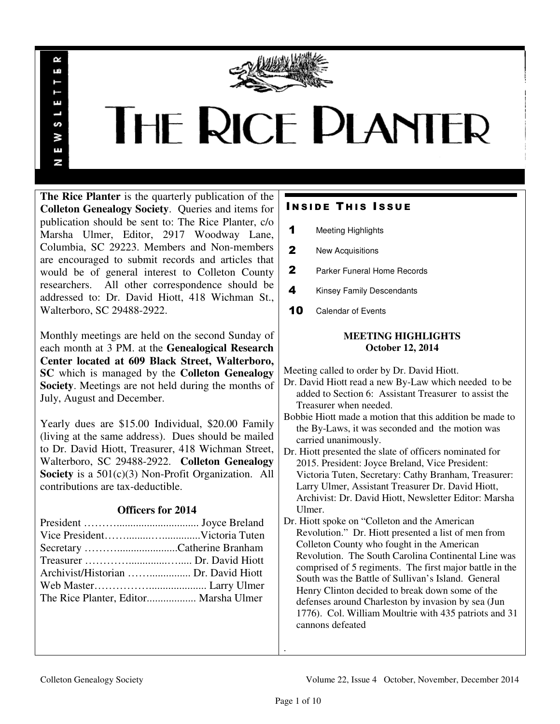

# THE RICE PLANTER

**The Rice Planter** is the quarterly publication of the **Colleton Genealogy Society**. Queries and items for publication should be sent to: The Rice Planter, c/o Marsha Ulmer, Editor, 2917 Woodway Lane, Columbia, SC 29223. Members and Non-members are encouraged to submit records and articles that would be of general interest to Colleton County researchers. All other correspondence should be addressed to: Dr. David Hiott, 418 Wichman St., Walterboro, SC 29488-2922.

R uń

д

S ¥ Ŧ N

Monthly meetings are held on the second Sunday of each month at 3 PM. at the **Genealogical Research Center located at 609 Black Street, Walterboro, SC** which is managed by the **Colleton Genealogy Society**. Meetings are not held during the months of July, August and December.

Yearly dues are \$15.00 Individual, \$20.00 Family (living at the same address). Dues should be mailed to Dr. David Hiott, Treasurer, 418 Wichman Street, Walterboro, SC 29488-2922. **Colleton Genealogy Society** is a 501(c)(3) Non-Profit Organization. All contributions are tax-deductible.

## **Officers for 2014**

| Secretary Catherine Branham           |  |
|---------------------------------------|--|
|                                       |  |
|                                       |  |
|                                       |  |
| The Rice Planter, Editor Marsha Ulmer |  |

## **INSIDE THIS ISSUE**

- 1 Meeting Highlights
- 2 New Acquisitions
- 2 Parker Funeral Home Records
- 4 Kinsey Family Descendants
- 10 Calendar of Events

## **MEETING HIGHLIGHTS October 12, 2014**

Meeting called to order by Dr. David Hiott.

- Dr. David Hiott read a new By-Law which needed to be added to Section 6: Assistant Treasurer to assist the Treasurer when needed.
- Bobbie Hiott made a motion that this addition be made to the By-Laws, it was seconded and the motion was carried unanimously.

Dr. Hiott presented the slate of officers nominated for 2015. President: Joyce Breland, Vice President: Victoria Tuten, Secretary: Cathy Branham, Treasurer: Larry Ulmer, Assistant Treasurer Dr. David Hiott, Archivist: Dr. David Hiott, Newsletter Editor: Marsha Ulmer.

Dr. Hiott spoke on "Colleton and the American Revolution." Dr. Hiott presented a list of men from Colleton County who fought in the American Revolution. The South Carolina Continental Line was comprised of 5 regiments. The first major battle in the South was the Battle of Sullivan's Island. General Henry Clinton decided to break down some of the defenses around Charleston by invasion by sea (Jun 1776). Col. William Moultrie with 435 patriots and 31 cannons defeated

.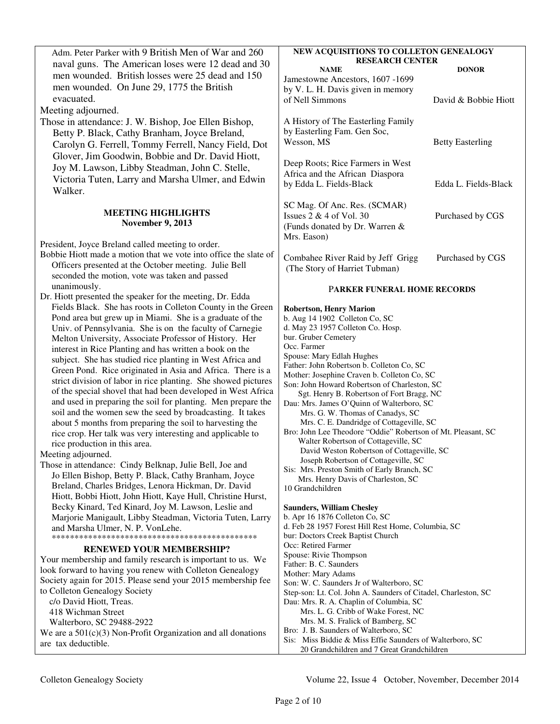| Adm. Peter Parker with 9 British Men of War and 260                                                                            | NEW ACQUISITIONS TO COLLETON GENEALOGY                                                                     |  |
|--------------------------------------------------------------------------------------------------------------------------------|------------------------------------------------------------------------------------------------------------|--|
| naval guns. The American loses were 12 dead and 30                                                                             | <b>RESEARCH CENTER</b><br><b>NAME</b><br><b>DONOR</b>                                                      |  |
| men wounded. British losses were 25 dead and 150                                                                               | Jamestowne Ancestors, 1607-1699                                                                            |  |
| men wounded. On June 29, 1775 the British                                                                                      | by V. L. H. Davis given in memory                                                                          |  |
| evacuated.                                                                                                                     | of Nell Simmons<br>David & Bobbie Hiott                                                                    |  |
| Meeting adjourned.                                                                                                             |                                                                                                            |  |
| Those in attendance: J. W. Bishop, Joe Ellen Bishop,                                                                           | A History of The Easterling Family                                                                         |  |
| Betty P. Black, Cathy Branham, Joyce Breland,                                                                                  | by Easterling Fam. Gen Soc,<br>Wesson, MS<br><b>Betty Easterling</b>                                       |  |
| Carolyn G. Ferrell, Tommy Ferrell, Nancy Field, Dot                                                                            |                                                                                                            |  |
| Glover, Jim Goodwin, Bobbie and Dr. David Hiott,                                                                               | Deep Roots; Rice Farmers in West                                                                           |  |
| Joy M. Lawson, Libby Steadman, John C. Stelle,                                                                                 | Africa and the African Diaspora                                                                            |  |
| Victoria Tuten, Larry and Marsha Ulmer, and Edwin                                                                              | by Edda L. Fields-Black<br>Edda L. Fields-Black                                                            |  |
| Walker.                                                                                                                        |                                                                                                            |  |
| <b>MEETING HIGHLIGHTS</b>                                                                                                      | SC Mag. Of Anc. Res. (SCMAR)                                                                               |  |
| <b>November 9, 2013</b>                                                                                                        | Issues $2 & 4$ of Vol. 30<br>Purchased by CGS                                                              |  |
|                                                                                                                                | (Funds donated by Dr. Warren &<br>Mrs. Eason)                                                              |  |
| President, Joyce Breland called meeting to order.                                                                              |                                                                                                            |  |
| Bobbie Hiott made a motion that we vote into office the slate of                                                               | Combahee River Raid by Jeff Grigg<br>Purchased by CGS                                                      |  |
| Officers presented at the October meeting. Julie Bell                                                                          | (The Story of Harriet Tubman)                                                                              |  |
| seconded the motion, vote was taken and passed                                                                                 |                                                                                                            |  |
| unanimously.<br>Dr. Hiott presented the speaker for the meeting, Dr. Edda                                                      | PARKER FUNERAL HOME RECORDS                                                                                |  |
| Fields Black. She has roots in Colleton County in the Green                                                                    | <b>Robertson, Henry Marion</b>                                                                             |  |
| Pond area but grew up in Miami. She is a graduate of the                                                                       | b. Aug 14 1902 Colleton Co, SC                                                                             |  |
| Univ. of Pennsylvania. She is on the faculty of Carnegie                                                                       | d. May 23 1957 Colleton Co. Hosp.                                                                          |  |
| Melton University, Associate Professor of History. Her                                                                         | bur. Gruber Cemetery                                                                                       |  |
| interest in Rice Planting and has written a book on the                                                                        | Occ. Farmer<br>Spouse: Mary Edlah Hughes                                                                   |  |
| subject. She has studied rice planting in West Africa and                                                                      | Father: John Robertson b. Colleton Co, SC                                                                  |  |
| Green Pond. Rice originated in Asia and Africa. There is a                                                                     | Mother: Josephine Craven b. Colleton Co, SC                                                                |  |
| strict division of labor in rice planting. She showed pictures<br>of the special shovel that had been developed in West Africa | Son: John Howard Robertson of Charleston, SC                                                               |  |
| and used in preparing the soil for planting. Men prepare the                                                                   | Sgt. Henry B. Robertson of Fort Bragg, NC<br>Dau: Mrs. James O'Quinn of Walterboro, SC                     |  |
| soil and the women sew the seed by broadcasting. It takes                                                                      | Mrs. G. W. Thomas of Canadys, SC                                                                           |  |
| about 5 months from preparing the soil to harvesting the                                                                       | Mrs. C. E. Dandridge of Cottageville, SC                                                                   |  |
| rice crop. Her talk was very interesting and applicable to                                                                     | Bro: John Lee Theodore "Oddie" Robertson of Mt. Pleasant, SC                                               |  |
| rice production in this area.                                                                                                  | Walter Robertson of Cottageville, SC<br>David Weston Robertson of Cottageville, SC                         |  |
| Meeting adjourned.                                                                                                             | Joseph Robertson of Cottageville, SC                                                                       |  |
| Those in attendance: Cindy Belknap, Julie Bell, Joe and<br>Jo Ellen Bishop, Betty P. Black, Cathy Branham, Joyce               | Sis: Mrs. Preston Smith of Early Branch, SC                                                                |  |
| Breland, Charles Bridges, Lenora Hickman, Dr. David                                                                            | Mrs. Henry Davis of Charleston, SC                                                                         |  |
| Hiott, Bobbi Hiott, John Hiott, Kaye Hull, Christine Hurst,                                                                    | 10 Grandchildren                                                                                           |  |
| Becky Kinard, Ted Kinard, Joy M. Lawson, Leslie and                                                                            | <b>Saunders, William Chesley</b>                                                                           |  |
| Marjorie Manigault, Libby Steadman, Victoria Tuten, Larry                                                                      | b. Apr 16 1876 Colleton Co, SC                                                                             |  |
| and Marsha Ulmer, N. P. VonLehe.                                                                                               | d. Feb 28 1957 Forest Hill Rest Home, Columbia, SC                                                         |  |
|                                                                                                                                | bur: Doctors Creek Baptist Church<br>Occ: Retired Farmer                                                   |  |
| <b>RENEWED YOUR MEMBERSHIP?</b>                                                                                                | Spouse: Rivie Thompson                                                                                     |  |
| Your membership and family research is important to us. We<br>look forward to having you renew with Colleton Genealogy         | Father: B. C. Saunders                                                                                     |  |
| Society again for 2015. Please send your 2015 membership fee                                                                   | Mother: Mary Adams                                                                                         |  |
| to Colleton Genealogy Society                                                                                                  | Son: W. C. Saunders Jr of Walterboro, SC<br>Step-son: Lt. Col. John A. Saunders of Citadel, Charleston, SC |  |
| c/o David Hiott, Treas.                                                                                                        | Dau: Mrs. R. A. Chaplin of Columbia, SC                                                                    |  |
| 418 Wichman Street                                                                                                             | Mrs. L. G. Cribb of Wake Forest, NC                                                                        |  |
| Walterboro, SC 29488-2922                                                                                                      | Mrs. M. S. Fralick of Bamberg, SC                                                                          |  |
| We are a $501(c)(3)$ Non-Profit Organization and all donations                                                                 | Bro: J. B. Saunders of Walterboro, SC<br>Sis: Miss Biddie & Miss Effie Saunders of Walterboro, SC          |  |
| are tax deductible.                                                                                                            | 20 Grandchildren and 7 Great Grandchildren                                                                 |  |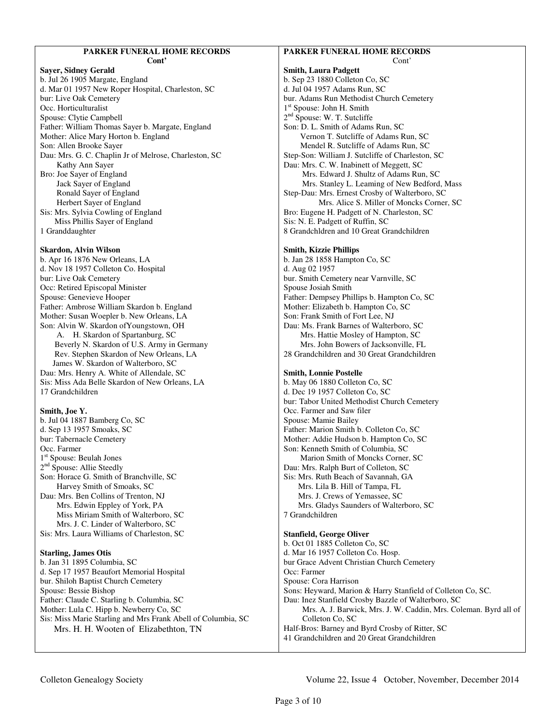## **PARKER FUNERAL HOME RECORDS**

#### **Cont' Sayer, Sidney Gerald**  b. Jul 26 1905 Margate, England d. Mar 01 1957 New Roper Hospital, Charleston, SC bur: Live Oak Cemetery Occ. Horticulturalist Spouse: Clytie Campbell Father: William Thomas Sayer b. Margate, England Mother: Alice Mary Horton b. England Son: Allen Brooke Sayer Dau: Mrs. G. C. Chaplin Jr of Melrose, Charleston, SC Kathy Ann Sayer Bro: Joe Sayer of England Jack Sayer of England Ronald Sayer of England Herbert Sayer of England Sis: Mrs. Sylvia Cowling of England Miss Phillis Sayer of England 1 Granddaughter

#### **Skardon, Alvin Wilson**

b. Apr 16 1876 New Orleans, LA d. Nov 18 1957 Colleton Co. Hospital bur: Live Oak Cemetery Occ: Retired Episcopal Minister Spouse: Genevieve Hooper Father: Ambrose William Skardon b. England Mother: Susan Woepler b. New Orleans, LA Son: Alvin W. Skardon ofYoungstown, OH A. H. Skardon of Spartanburg, SC Beverly N. Skardon of U.S. Army in Germany Rev. Stephen Skardon of New Orleans, LA James W. Skardon of Walterboro, SC Dau: Mrs. Henry A. White of Allendale, SC Sis: Miss Ada Belle Skardon of New Orleans, LA 17 Grandchildren

#### **Smith, Joe Y.**

b. Jul 04 1887 Bamberg Co, SC d. Sep 13 1957 Smoaks, SC bur: Tabernacle Cemetery Occ. Farmer 1 st Spouse: Beulah Jones 2<sup>nd</sup> Spouse: Allie Steedly Son: Horace G. Smith of Branchville, SC Harvey Smith of Smoaks, SC Dau: Mrs. Ben Collins of Trenton, NJ Mrs. Edwin Eppley of York, PA Miss Miriam Smith of Walterboro, SC Mrs. J. C. Linder of Walterboro, SC Sis: Mrs. Laura Williams of Charleston, SC

#### **Starling, James Otis**

b. Jan 31 1895 Columbia, SC d. Sep 17 1957 Beaufort Memorial Hospital bur. Shiloh Baptist Church Cemetery Spouse: Bessie Bishop Father: Claude C. Starling b. Columbia, SC Mother: Lula C. Hipp b. Newberry Co, SC Sis: Miss Marie Starling and Mrs Frank Abell of Columbia, SC Mrs. H. H. Wooten of Elizabethton, TN

## **PARKER FUNERAL HOME RECORDS**

Cont' **Smith, Laura Padgett**  b. Sep 23 1880 Colleton Co, SC d. Jul 04 1957 Adams Run, SC bur. Adams Run Methodist Church Cemetery 1 st Spouse: John H. Smith 2<sup>nd</sup> Spouse: W. T. Sutcliffe Son: D. L. Smith of Adams Run, SC Vernon T. Sutcliffe of Adams Run, SC Mendel R. Sutcliffe of Adams Run, SC Step-Son: William J. Sutcliffe of Charleston, SC Dau: Mrs. C. W. Inabinett of Meggett, SC Mrs. Edward J. Shultz of Adams Run, SC Mrs. Stanley L. Leaming of New Bedford, Mass Step-Dau: Mrs. Ernest Crosby of Walterboro, SC Mrs. Alice S. Miller of Moncks Corner, SC Bro: Eugene H. Padgett of N. Charleston, SC Sis: N. E. Padgett of Ruffin, SC 8 Grandchldren and 10 Great Grandchildren

#### **Smith, Kizzie Phillips**

b. Jan 28 1858 Hampton Co, SC d. Aug 02 1957 bur. Smith Cemetery near Varnville, SC Spouse Josiah Smith Father: Dempsey Phillips b. Hampton Co, SC Mother: Elizabeth b. Hampton Co, SC Son: Frank Smith of Fort Lee, NJ Dau: Ms. Frank Barnes of Walterboro, SC Mrs. Hattie Mosley of Hampton, SC Mrs. John Bowers of Jacksonville, FL 28 Grandchildren and 30 Great Grandchildren

#### **Smith, Lonnie Postelle**

b. May 06 1880 Colleton Co, SC d. Dec 19 1957 Colleton Co, SC bur: Tabor United Methodist Church Cemetery Occ. Farmer and Saw filer Spouse: Mamie Bailey Father: Marion Smith b. Colleton Co, SC Mother: Addie Hudson b. Hampton Co, SC Son: Kenneth Smith of Columbia, SC Marion Smith of Moncks Corner, SC Dau: Mrs. Ralph Burt of Colleton, SC Sis: Mrs. Ruth Beach of Savannah, GA Mrs. Lila B. Hill of Tampa, FL Mrs. J. Crews of Yemassee, SC Mrs. Gladys Saunders of Walterboro, SC 7 Grandchildren

#### **Stanfield, George Oliver**

b. Oct 01 1885 Colleton Co, SC d. Mar 16 1957 Colleton Co. Hosp. bur Grace Advent Christian Church Cemetery Occ: Farmer Spouse: Cora Harrison Sons: Heyward, Marion & Harry Stanfield of Colleton Co, SC. Dau: Inez Stanfield Crosby Bazzle of Walterboro, SC Mrs. A. J. Barwick, Mrs. J. W. Caddin, Mrs. Coleman. Byrd all of Colleton Co, SC Half-Bros: Barney and Byrd Crosby of Ritter, SC 41 Grandchildren and 20 Great Grandchildren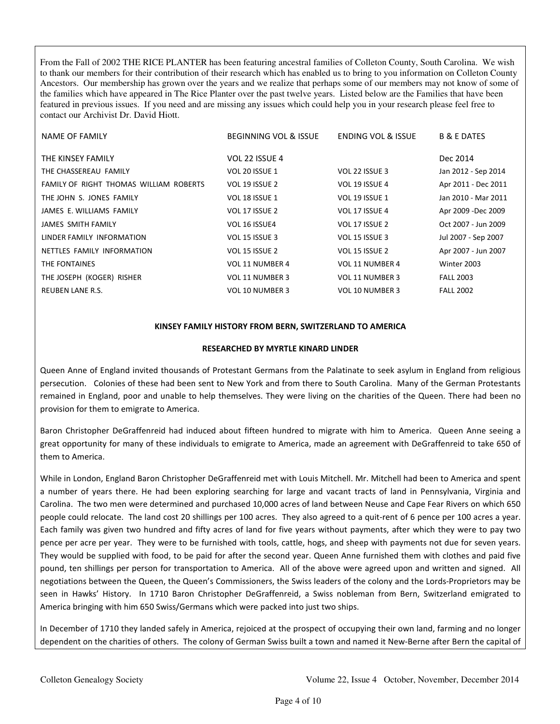From the Fall of 2002 THE RICE PLANTER has been featuring ancestral families of Colleton County, South Carolina. We wish to thank our members for their contribution of their research which has enabled us to bring to you information on Colleton County Ancestors. Our membership has grown over the years and we realize that perhaps some of our members may not know of some of the families which have appeared in The Rice Planter over the past twelve years. Listed below are the Families that have been featured in previous issues. If you need and are missing any issues which could help you in your research please feel free to contact our Archivist Dr. David Hiott.

| NAME OF FAMILY                         | <b>BEGINNING VOL &amp; ISSUE</b> | <b>ENDING VOL &amp; ISSUE</b> | <b>B &amp; E DATES</b> |
|----------------------------------------|----------------------------------|-------------------------------|------------------------|
| THE KINSEY FAMILY                      | VOL 22 ISSUE 4                   |                               | Dec 2014               |
| THE CHASSEREAU FAMILY                  | VOL 20 ISSUE 1                   | VOL 22 ISSUE 3                | Jan 2012 - Sep 2014    |
| FAMILY OF RIGHT THOMAS WILLIAM ROBERTS | VOL 19 ISSUE 2                   | VOL 19 ISSUE 4                | Apr 2011 - Dec 2011    |
| THE JOHN S. JONES FAMILY               | VOL 18 ISSUE 1                   | VOL 19 ISSUE 1                | Jan 2010 - Mar 2011    |
| JAMES E. WILLIAMS FAMILY               | VOL 17 ISSUE 2                   | VOL 17 ISSUE 4                | Apr 2009 - Dec 2009    |
| JAMES SMITH FAMILY                     | VOL 16 ISSUE4                    | VOL 17 ISSUE 2                | Oct 2007 - Jun 2009    |
| LINDER FAMILY INFORMATION              | VOL 15 ISSUE 3                   | VOL 15 ISSUE 3                | Jul 2007 - Sep 2007    |
| NETTLES FAMILY INFORMATION             | VOL 15 ISSUE 2                   | VOL 15 ISSUE 2                | Apr 2007 - Jun 2007    |
| THE FONTAINES                          | VOL 11 NUMBER 4                  | VOL 11 NUMBER 4               | Winter 2003            |
| THE JOSEPH (KOGER) RISHER              | VOL 11 NUMBER 3                  | VOL 11 NUMBER 3               | <b>FALL 2003</b>       |
| <b>REUBEN LANE R.S.</b>                | VOL 10 NUMBER 3                  | VOL 10 NUMBER 3               | <b>FALL 2002</b>       |

#### KINSEY FAMILY HISTORY FROM BERN, SWITZERLAND TO AMERICA

#### RESEARCHED BY MYRTLE KINARD LINDER

Queen Anne of England invited thousands of Protestant Germans from the Palatinate to seek asylum in England from religious persecution. Colonies of these had been sent to New York and from there to South Carolina. Many of the German Protestants remained in England, poor and unable to help themselves. They were living on the charities of the Queen. There had been no provision for them to emigrate to America.

Baron Christopher DeGraffenreid had induced about fifteen hundred to migrate with him to America. Queen Anne seeing a great opportunity for many of these individuals to emigrate to America, made an agreement with DeGraffenreid to take 650 of them to America.

While in London, England Baron Christopher DeGraffenreid met with Louis Mitchell. Mr. Mitchell had been to America and spent a number of years there. He had been exploring searching for large and vacant tracts of land in Pennsylvania, Virginia and Carolina. The two men were determined and purchased 10,000 acres of land between Neuse and Cape Fear Rivers on which 650 people could relocate. The land cost 20 shillings per 100 acres. They also agreed to a quit-rent of 6 pence per 100 acres a year. Each family was given two hundred and fifty acres of land for five years without payments, after which they were to pay two pence per acre per year. They were to be furnished with tools, cattle, hogs, and sheep with payments not due for seven years. They would be supplied with food, to be paid for after the second year. Queen Anne furnished them with clothes and paid five pound, ten shillings per person for transportation to America. All of the above were agreed upon and written and signed. All negotiations between the Queen, the Queen's Commissioners, the Swiss leaders of the colony and the Lords-Proprietors may be seen in Hawks' History. In 1710 Baron Christopher DeGraffenreid, a Swiss nobleman from Bern, Switzerland emigrated to America bringing with him 650 Swiss/Germans which were packed into just two ships.

In December of 1710 they landed safely in America, rejoiced at the prospect of occupying their own land, farming and no longer dependent on the charities of others. The colony of German Swiss built a town and named it New-Berne after Bern the capital of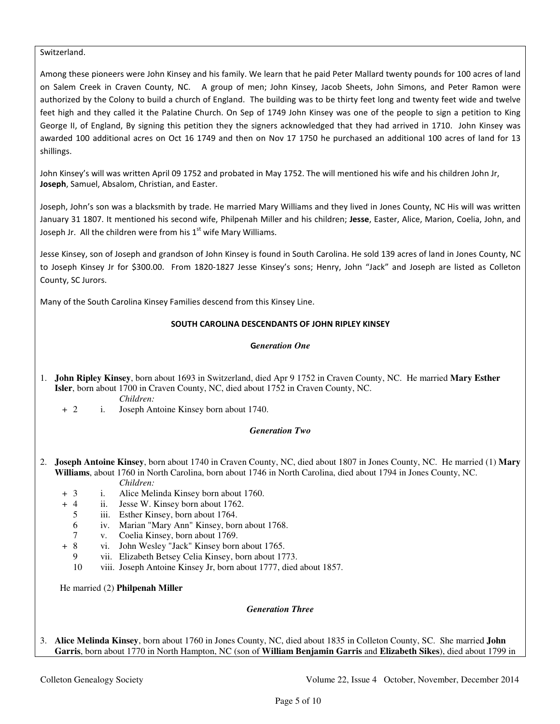#### Switzerland.

Among these pioneers were John Kinsey and his family. We learn that he paid Peter Mallard twenty pounds for 100 acres of land on Salem Creek in Craven County, NC. A group of men; John Kinsey, Jacob Sheets, John Simons, and Peter Ramon were authorized by the Colony to build a church of England. The building was to be thirty feet long and twenty feet wide and twelve feet high and they called it the Palatine Church. On Sep of 1749 John Kinsey was one of the people to sign a petition to King George II, of England, By signing this petition they the signers acknowledged that they had arrived in 1710. John Kinsey was awarded 100 additional acres on Oct 16 1749 and then on Nov 17 1750 he purchased an additional 100 acres of land for 13 shillings.

John Kinsey's will was written April 09 1752 and probated in May 1752. The will mentioned his wife and his children John Jr, Joseph, Samuel, Absalom, Christian, and Easter.

Joseph, John's son was a blacksmith by trade. He married Mary Williams and they lived in Jones County, NC His will was written January 31 1807. It mentioned his second wife, Philpenah Miller and his children; Jesse, Easter, Alice, Marion, Coelia, John, and Joseph Jr. All the children were from his  $1<sup>st</sup>$  wife Mary Williams.

Jesse Kinsey, son of Joseph and grandson of John Kinsey is found in South Carolina. He sold 139 acres of land in Jones County, NC to Joseph Kinsey Jr for \$300.00. From 1820-1827 Jesse Kinsey's sons; Henry, John "Jack" and Joseph are listed as Colleton County, SC Jurors.

Many of the South Carolina Kinsey Families descend from this Kinsey Line.

#### SOUTH CAROLINA DESCENDANTS OF JOHN RIPLEY KINSEY

#### G*eneration One*

- 1. **John Ripley Kinsey**, born about 1693 in Switzerland, died Apr 9 1752 in Craven County, NC. He married **Mary Esther Isler**, born about 1700 in Craven County, NC, died about 1752 in Craven County, NC. *Children:*
	- + 2 i. Joseph Antoine Kinsey born about 1740.

#### *Generation Two*

- 2. **Joseph Antoine Kinsey**, born about 1740 in Craven County, NC, died about 1807 in Jones County, NC. He married (1) **Mary Williams**, about 1760 in North Carolina, born about 1746 in North Carolina, died about 1794 in Jones County, NC. *Children:*
	- + 3 i. Alice Melinda Kinsey born about 1760.
	- + 4 ii. Jesse W. Kinsey born about 1762.
		- 5 iii. Esther Kinsey, born about 1764.
		- 6 iv. Marian "Mary Ann" Kinsey, born about 1768.
		- 7 v. Coelia Kinsey, born about 1769.
	- + 8 vi. John Wesley "Jack" Kinsey born about 1765.
		- 9 vii. Elizabeth Betsey Celia Kinsey, born about 1773.
		- 10 viii. Joseph Antoine Kinsey Jr, born about 1777, died about 1857.

He married (2) **Philpenah Miller** 

## *Generation Three*

3. **Alice Melinda Kinsey**, born about 1760 in Jones County, NC, died about 1835 in Colleton County, SC. She married **John Garris**, born about 1770 in North Hampton, NC (son of **William Benjamin Garris** and **Elizabeth Sikes**), died about 1799 in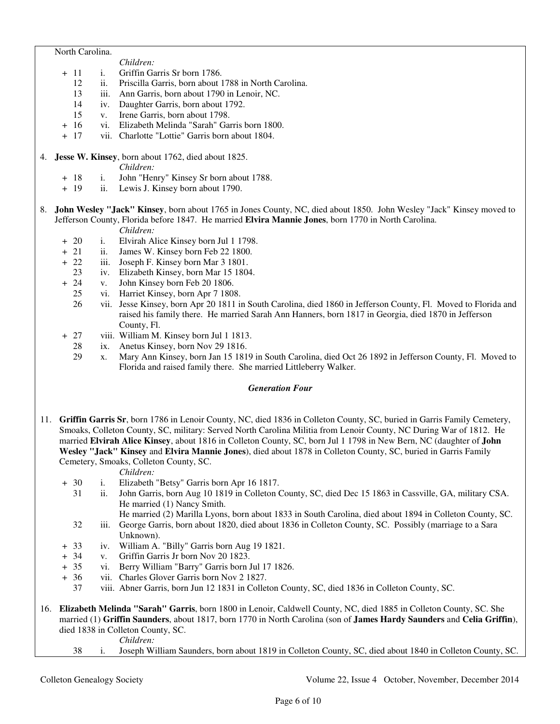#### North Carolina.

- *Children:*
- + 11 i. Griffin Garris Sr born 1786.
	- 12 ii. Priscilla Garris, born about 1788 in North Carolina.
	- 13 iii. Ann Garris, born about 1790 in Lenoir, NC.
	- 14 iv. Daughter Garris, born about 1792.
	- 15 v. Irene Garris, born about 1798.
- + 16 vi. Elizabeth Melinda "Sarah" Garris born 1800.
- + 17 vii. Charlotte "Lottie" Garris born about 1804.
- 4. **Jesse W. Kinsey**, born about 1762, died about 1825.

*Children:*

- + 18 i. John "Henry" Kinsey Sr born about 1788.
- + 19 ii. Lewis J. Kinsey born about 1790.
- 8. **John Wesley "Jack" Kinsey**, born about 1765 in Jones County, NC, died about 1850. John Wesley "Jack" Kinsey moved to Jefferson County, Florida before 1847. He married **Elvira Mannie Jones**, born 1770 in North Carolina.
	- *Children:*
	- + 20 i. Elvirah Alice Kinsey born Jul 1 1798.
	- + 21 ii. James W. Kinsey born Feb 22 1800.
	- + 22 iii. Joseph F. Kinsey born Mar 3 1801.
		- 23 iv. Elizabeth Kinsey, born Mar 15 1804.
	- + 24 v. John Kinsey born Feb 20 1806.<br>25 vi. Harriet Kinsey, born Apr 7 1808
		- vi. Harriet Kinsey, born Apr 7 1808.
		- 26 vii. Jesse Kinsey, born Apr 20 1811 in South Carolina, died 1860 in Jefferson County, Fl. Moved to Florida and raised his family there. He married Sarah Ann Hanners, born 1817 in Georgia, died 1870 in Jefferson County, Fl.
	- + 27 viii. William M. Kinsey born Jul 1 1813.
		- 28 ix. Anetus Kinsey, born Nov 29 1816.<br>29 x. Mary Ann Kinsey, born Jan 15 181
			- 29 x. Mary Ann Kinsey, born Jan 15 1819 in South Carolina, died Oct 26 1892 in Jefferson County, Fl. Moved to Florida and raised family there. She married Littleberry Walker.

#### *Generation Four*

11. **Griffin Garris Sr**, born 1786 in Lenoir County, NC, died 1836 in Colleton County, SC, buried in Garris Family Cemetery, Smoaks, Colleton County, SC, military: Served North Carolina Militia from Lenoir County, NC During War of 1812. He married **Elvirah Alice Kinsey**, about 1816 in Colleton County, SC, born Jul 1 1798 in New Bern, NC (daughter of **John Wesley "Jack" Kinsey** and **Elvira Mannie Jones**), died about 1878 in Colleton County, SC, buried in Garris Family Cemetery, Smoaks, Colleton County, SC.

*Children:*

- + 30 i. Elizabeth "Betsy" Garris born Apr 16 1817.
	- 31 ii. John Garris, born Aug 10 1819 in Colleton County, SC, died Dec 15 1863 in Cassville, GA, military CSA. He married (1) Nancy Smith.
		- He married (2) Marilla Lyons, born about 1833 in South Carolina, died about 1894 in Colleton County, SC.
	- 32 iii. George Garris, born about 1820, died about 1836 in Colleton County, SC. Possibly (marriage to a Sara Unknown).
- + 33 iv. William A. "Billy" Garris born Aug 19 1821.
- + 34 v. Griffin Garris Jr born Nov 20 1823.
- + 35 vi. Berry William "Barry" Garris born Jul 17 1826.
- + 36 vii. Charles Glover Garris born Nov 2 1827.
	- 37 viii. Abner Garris, born Jun 12 1831 in Colleton County, SC, died 1836 in Colleton County, SC.
- 16. **Elizabeth Melinda "Sarah" Garris**, born 1800 in Lenoir, Caldwell County, NC, died 1885 in Colleton County, SC. She married (1) **Griffin Saunders**, about 1817, born 1770 in North Carolina (son of **James Hardy Saunders** and **Celia Griffin**), died 1838 in Colleton County, SC.

*Children:*

38 i. Joseph William Saunders, born about 1819 in Colleton County, SC, died about 1840 in Colleton County, SC.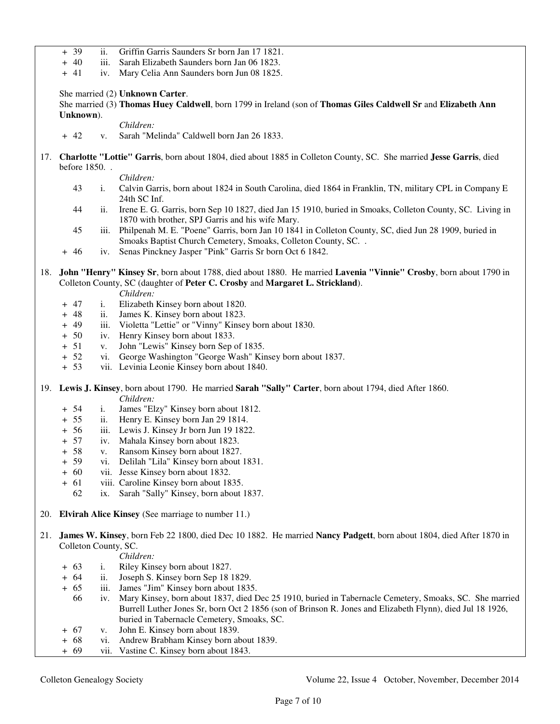- + 39 ii. Griffin Garris Saunders Sr born Jan 17 1821.
- + 40 iii. Sarah Elizabeth Saunders born Jan 06 1823.
- + 41 iv. Mary Celia Ann Saunders born Jun 08 1825.

She married (2) **Unknown Carter**.

 She married (3) **Thomas Huey Caldwell**, born 1799 in Ireland (son of **Thomas Giles Caldwell Sr** and **Elizabeth Ann Unknown**).

*Children:*

- + 42 v. Sarah "Melinda" Caldwell born Jan 26 1833.
- 17. **Charlotte "Lottie" Garris**, born about 1804, died about 1885 in Colleton County, SC. She married **Jesse Garris**, died before 1850. .

*Children:*

- 43 i. Calvin Garris, born about 1824 in South Carolina, died 1864 in Franklin, TN, military CPL in Company E 24th SC Inf.
- 44 ii. Irene E. G. Garris, born Sep 10 1827, died Jan 15 1910, buried in Smoaks, Colleton County, SC. Living in 1870 with brother, SPJ Garris and his wife Mary.
- 45 iii. Philpenah M. E. "Poene" Garris, born Jan 10 1841 in Colleton County, SC, died Jun 28 1909, buried in Smoaks Baptist Church Cemetery, Smoaks, Colleton County, SC. .
- + 46 iv. Senas Pinckney Jasper "Pink" Garris Sr born Oct 6 1842.
- 18. **John "Henry" Kinsey Sr**, born about 1788, died about 1880. He married **Lavenia "Vinnie" Crosby**, born about 1790 in Colleton County, SC (daughter of **Peter C. Crosby** and **Margaret L. Strickland**).

*Children:*

- + 47 i. Elizabeth Kinsey born about 1820.
- + 48 ii. James K. Kinsey born about 1823.
- + 49 iii. Violetta "Lettie" or "Vinny" Kinsey born about 1830.
- + 50 iv. Henry Kinsey born about 1833.
- + 51 v. John "Lewis" Kinsey born Sep of 1835.<br>+ 52 vi. George Washington "George Wash" Kin
- vi. George Washington "George Wash" Kinsey born about 1837.
- + 53 vii. Levinia Leonie Kinsey born about 1840.
- 19. **Lewis J. Kinsey**, born about 1790. He married **Sarah "Sally" Carter**, born about 1794, died After 1860. *Children:*
	- + 54 i. James "Elzy" Kinsey born about 1812.<br>+ 55 ii. Henry E. Kinsey born Jan 29 1814.
	- ii. Henry E. Kinsey born Jan 29 1814.
	- + 56 iii. Lewis J. Kinsey Jr born Jun 19 1822.
	- + 57 iv. Mahala Kinsey born about 1823.
	- + 58 v. Ransom Kinsey born about 1827.
	- + 59 vi. Delilah "Lila" Kinsey born about 1831.
	- + 60 vii. Jesse Kinsey born about 1832.
	- + 61 viii. Caroline Kinsey born about 1835.
		- 62 ix. Sarah "Sally" Kinsey, born about 1837.
- 20. **Elvirah Alice Kinsey** (See marriage to number 11.)
- 21. **James W. Kinsey**, born Feb 22 1800, died Dec 10 1882. He married **Nancy Padgett**, born about 1804, died After 1870 in Colleton County, SC.

*Children:*

- + 63 i. Riley Kinsey born about 1827.
- + 64 ii. Joseph S. Kinsey born Sep 18 1829.
- + 65 iii. James "Jim" Kinsey born about 1835.
	- 66 iv. Mary Kinsey, born about 1837, died Dec 25 1910, buried in Tabernacle Cemetery, Smoaks, SC. She married Burrell Luther Jones Sr, born Oct 2 1856 (son of Brinson R. Jones and Elizabeth Flynn), died Jul 18 1926, buried in Tabernacle Cemetery, Smoaks, SC.
- + 67 v. John E. Kinsey born about 1839.
- + 68 vi. Andrew Brabham Kinsey born about 1839.
- + 69 vii. Vastine C. Kinsey born about 1843.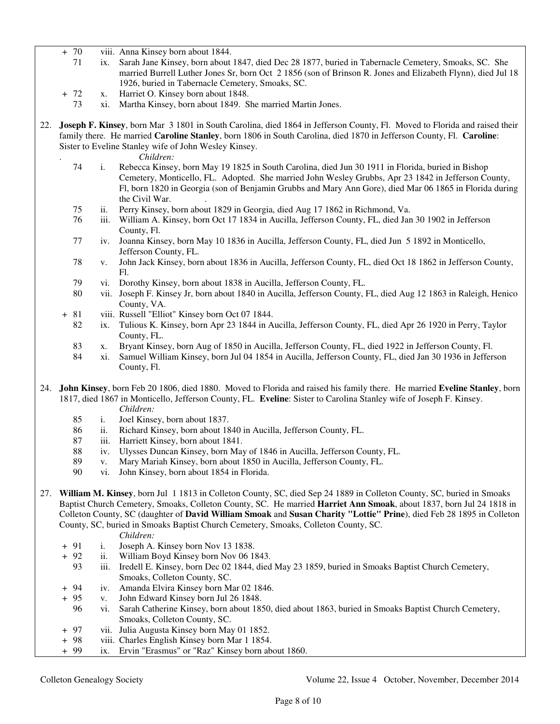- + 70 viii. Anna Kinsey born about 1844. 71 ix. Sarah Jane Kinsey, born about 1847, died Dec 28 1877, buried in Tabernacle Cemetery, Smoaks, SC. She married Burrell Luther Jones Sr, born Oct 2 1856 (son of Brinson R. Jones and Elizabeth Flynn), died Jul 18 1926, buried in Tabernacle Cemetery, Smoaks, SC.
- + 72 x. Harriet O. Kinsey born about 1848.
	- 73 xi. Martha Kinsey, born about 1849. She married Martin Jones.
- 22. **Joseph F. Kinsey**, born Mar 3 1801 in South Carolina, died 1864 in Jefferson County, Fl. Moved to Florida and raised their family there. He married **Caroline Stanley**, born 1806 in South Carolina, died 1870 in Jefferson County, Fl. **Caroline**: Sister to Eveline Stanley wife of John Wesley Kinsey.

- *Children:*<br>74 i. Rebecca Kinsey i. Rebecca Kinsey, born May 19 1825 in South Carolina, died Jun 30 1911 in Florida, buried in Bishop Cemetery, Monticello, FL. Adopted. She married John Wesley Grubbs, Apr 23 1842 in Jefferson County, Fl, born 1820 in Georgia (son of Benjamin Grubbs and Mary Ann Gore), died Mar 06 1865 in Florida during the Civil War.
- 75 ii. Perry Kinsey, born about 1829 in Georgia, died Aug 17 1862 in Richmond, Va.
- 76 iii. William A. Kinsey, born Oct 17 1834 in Aucilla, Jefferson County, FL, died Jan 30 1902 in Jefferson County, Fl.
- 77 iv. Joanna Kinsey, born May 10 1836 in Aucilla, Jefferson County, FL, died Jun 5 1892 in Monticello, Jefferson County, FL.
- 78 v. John Jack Kinsey, born about 1836 in Aucilla, Jefferson County, FL, died Oct 18 1862 in Jefferson County, Fl.
- 79 vi. Dorothy Kinsey, born about 1838 in Aucilla, Jefferson County, FL.
- 80 vii. Joseph F. Kinsey Jr, born about 1840 in Aucilla, Jefferson County, FL, died Aug 12 1863 in Raleigh, Henico County, VA.
- + 81 viii. Russell "Elliot" Kinsey born Oct 07 1844.
	- 82 ix. Tulious K. Kinsey, born Apr 23 1844 in Aucilla, Jefferson County, FL, died Apr 26 1920 in Perry, Taylor County, FL.
	- 83 x. Bryant Kinsey, born Aug of 1850 in Aucilla, Jefferson County, FL, died 1922 in Jefferson County, Fl. (34 xi. Samuel William Kinsey, born Jul 04 1854 in Aucilla, Jefferson County, FL, died Jan 30 1936 in Jeffers
	- 84 xi. Samuel William Kinsey, born Jul 04 1854 in Aucilla, Jefferson County, FL, died Jan 30 1936 in Jefferson County, Fl.
- 24. **John Kinsey**, born Feb 20 1806, died 1880. Moved to Florida and raised his family there. He married **Eveline Stanley**, born 1817, died 1867 in Monticello, Jefferson County, FL. **Eveline**: Sister to Carolina Stanley wife of Joseph F. Kinsey. *Children:*
	- 85 i. Joel Kinsey, born about 1837.
	- 86 ii. Richard Kinsey, born about 1840 in Aucilla, Jefferson County, FL.
	- 87 iii. Harriett Kinsey, born about 1841.
	- 88 iv. Ulysses Duncan Kinsey, born May of 1846 in Aucilla, Jefferson County, FL.
	- 89 v. Mary Mariah Kinsey, born about 1850 in Aucilla, Jefferson County, FL.
	- 90 vi. John Kinsey, born about 1854 in Florida.
- 27. **William M. Kinsey**, born Jul 1 1813 in Colleton County, SC, died Sep 24 1889 in Colleton County, SC, buried in Smoaks Baptist Church Cemetery, Smoaks, Colleton County, SC. He married **Harriet Ann Smoak**, about 1837, born Jul 24 1818 in Colleton County, SC (daughter of **David William Smoak** and **Susan Charity "Lottie" Prine**), died Feb 28 1895 in Colleton County, SC, buried in Smoaks Baptist Church Cemetery, Smoaks, Colleton County, SC.

*Children:*

- + 91 i. Joseph A. Kinsey born Nov 13 1838.
- + 92 ii. William Boyd Kinsey born Nov 06 1843.
	- 93 iii. Iredell E. Kinsey, born Dec 02 1844, died May 23 1859, buried in Smoaks Baptist Church Cemetery, Smoaks, Colleton County, SC.
- + 94 iv. Amanda Elvira Kinsey born Mar 02 1846.
- + 95 v. John Edward Kinsey born Jul 26 1848.<br>96 vi. Sarah Catherine Kinsey, born about 185
	- 96 vi. Sarah Catherine Kinsey, born about 1850, died about 1863, buried in Smoaks Baptist Church Cemetery, Smoaks, Colleton County, SC.
- + 97 vii. Julia Augusta Kinsey born May 01 1852.
- + 98 viii. Charles English Kinsey born Mar 1 1854.
- + 99 ix. Ervin "Erasmus" or "Raz" Kinsey born about 1860.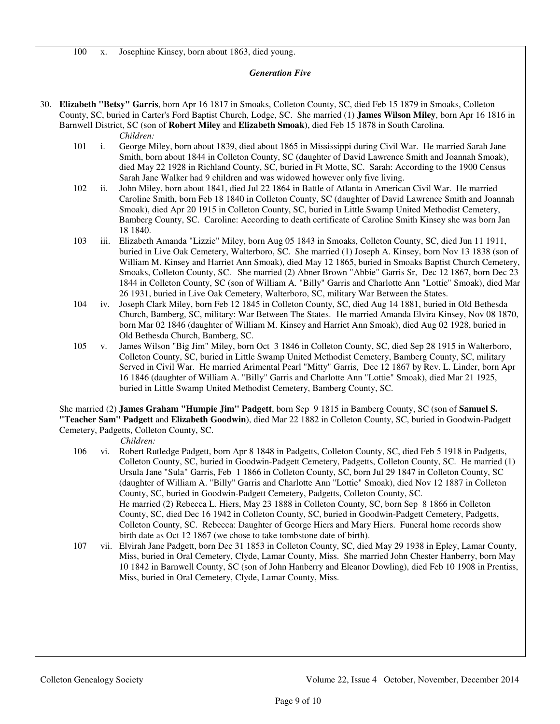100 x. Josephine Kinsey, born about 1863, died young.

### *Generation Five*

30. **Elizabeth "Betsy" Garris**, born Apr 16 1817 in Smoaks, Colleton County, SC, died Feb 15 1879 in Smoaks, Colleton County, SC, buried in Carter's Ford Baptist Church, Lodge, SC. She married (1) **James Wilson Miley**, born Apr 16 1816 in Barnwell District, SC (son of **Robert Miley** and **Elizabeth Smoak**), died Feb 15 1878 in South Carolina.

*Children:*

- 101 i. George Miley, born about 1839, died about 1865 in Mississippi during Civil War. He married Sarah Jane Smith, born about 1844 in Colleton County, SC (daughter of David Lawrence Smith and Joannah Smoak), died May 22 1928 in Richland County, SC, buried in Ft Motte, SC. Sarah: According to the 1900 Census Sarah Jane Walker had 9 children and was widowed however only five living.
- 102 ii. John Miley, born about 1841, died Jul 22 1864 in Battle of Atlanta in American Civil War. He married Caroline Smith, born Feb 18 1840 in Colleton County, SC (daughter of David Lawrence Smith and Joannah Smoak), died Apr 20 1915 in Colleton County, SC, buried in Little Swamp United Methodist Cemetery, Bamberg County, SC. Caroline: According to death certificate of Caroline Smith Kinsey she was born Jan 18 1840.
- 103 iii. Elizabeth Amanda "Lizzie" Miley, born Aug 05 1843 in Smoaks, Colleton County, SC, died Jun 11 1911, buried in Live Oak Cemetery, Walterboro, SC. She married (1) Joseph A. Kinsey, born Nov 13 1838 (son of William M. Kinsey and Harriet Ann Smoak), died May 12 1865, buried in Smoaks Baptist Church Cemetery, Smoaks, Colleton County, SC. She married (2) Abner Brown "Abbie" Garris Sr, Dec 12 1867, born Dec 23 1844 in Colleton County, SC (son of William A. "Billy" Garris and Charlotte Ann "Lottie" Smoak), died Mar 26 1931, buried in Live Oak Cemetery, Walterboro, SC, military War Between the States.
- 104 iv. Joseph Clark Miley, born Feb 12 1845 in Colleton County, SC, died Aug 14 1881, buried in Old Bethesda Church, Bamberg, SC, military: War Between The States. He married Amanda Elvira Kinsey, Nov 08 1870, born Mar 02 1846 (daughter of William M. Kinsey and Harriet Ann Smoak), died Aug 02 1928, buried in Old Bethesda Church, Bamberg, SC.
- 105 v. James Wilson "Big Jim" Miley, born Oct 3 1846 in Colleton County, SC, died Sep 28 1915 in Walterboro, Colleton County, SC, buried in Little Swamp United Methodist Cemetery, Bamberg County, SC, military Served in Civil War. He married Arimental Pearl "Mitty" Garris, Dec 12 1867 by Rev. L. Linder, born Apr 16 1846 (daughter of William A. "Billy" Garris and Charlotte Ann "Lottie" Smoak), died Mar 21 1925, buried in Little Swamp United Methodist Cemetery, Bamberg County, SC.

 She married (2) **James Graham "Humpie Jim" Padgett**, born Sep 9 1815 in Bamberg County, SC (son of **Samuel S. "Teacher Sam" Padgett** and **Elizabeth Goodwin**), died Mar 22 1882 in Colleton County, SC, buried in Goodwin-Padgett Cemetery, Padgetts, Colleton County, SC.

 *Children:*

- 106 vi. Robert Rutledge Padgett, born Apr 8 1848 in Padgetts, Colleton County, SC, died Feb 5 1918 in Padgetts, Colleton County, SC, buried in Goodwin-Padgett Cemetery, Padgetts, Colleton County, SC. He married (1) Ursula Jane "Sula" Garris, Feb 1 1866 in Colleton County, SC, born Jul 29 1847 in Colleton County, SC (daughter of William A. "Billy" Garris and Charlotte Ann "Lottie" Smoak), died Nov 12 1887 in Colleton County, SC, buried in Goodwin-Padgett Cemetery, Padgetts, Colleton County, SC. He married (2) Rebecca L. Hiers, May 23 1888 in Colleton County, SC, born Sep 8 1866 in Colleton County, SC, died Dec 16 1942 in Colleton County, SC, buried in Goodwin-Padgett Cemetery, Padgetts, Colleton County, SC. Rebecca: Daughter of George Hiers and Mary Hiers. Funeral home records show birth date as Oct 12 1867 (we chose to take tombstone date of birth).
- 107 vii. Elvirah Jane Padgett, born Dec 31 1853 in Colleton County, SC, died May 29 1938 in Epley, Lamar County, Miss, buried in Oral Cemetery, Clyde, Lamar County, Miss. She married John Chester Hanberry, born May 10 1842 in Barnwell County, SC (son of John Hanberry and Eleanor Dowling), died Feb 10 1908 in Prentiss, Miss, buried in Oral Cemetery, Clyde, Lamar County, Miss.